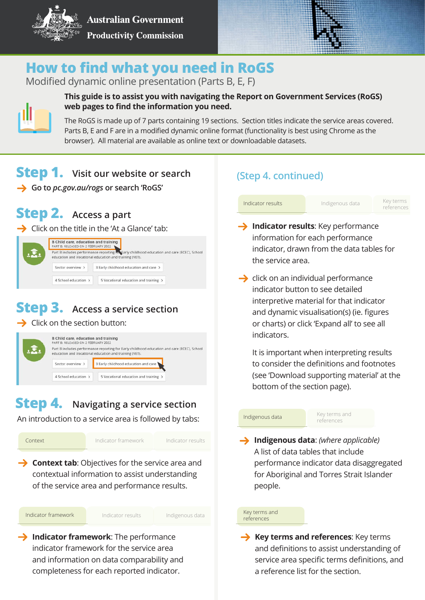

**Australian Government Productivity Commission** 



# **How to find what you need in RoGS**

Modified dynamic online presentation (Parts B, E, F)



### **This guide is to assist you with navigating the Report on Government Services (RoGS) web pages to find the information you need.**

The RoGS is made up of 7 parts containing 19 sections. Section titles indicate the service areas covered. Parts B, E and F are in a modified dynamic online format (functionality is best using Chrome as the browser). All material are available as online text or downloadable datasets.

## **Step 1. Visit our website or search**

**Go to** *pc.gov.au/rogs* **or search 'RoGS'**

## **Step 2. Access a part**

 $\rightarrow$  Click on the title in the 'At a Glance' tab:

|  | B Child care, education and training<br>PART B: RELEASED ON 2 FEBRUARY 2022                                                                          |                                        |
|--|------------------------------------------------------------------------------------------------------------------------------------------------------|----------------------------------------|
|  | Part B includes performance reporting to Early childhood education and care (ECEC), School<br>education and Vocational education and training (VET). |                                        |
|  | Sector overview >                                                                                                                                    | 3 Early childhood education and care > |
|  | 4 School education >                                                                                                                                 | 5 Vocational education and training >  |

# **Step 3. Access a service section**

Click on the section button:



#### **Step 4. Navigating a service section**

An introduction to a service area is followed by tabs:



## **(Step 4. continued)**

Key terms references

- **Indicator results**: Key performance information for each performance indicator, drawn from the data tables for the service area.
- $\rightarrow$  click on an individual performance indicator button to see detailed interpretive material for that indicator and dynamic visualisation(s) (ie. figures or charts) or click 'Expand all' to see all indicators.

It is important when interpreting results to consider the definitions and footnotes (see 'Download supporting material' at the bottom of the section page).

### Indigenous data

Key terms and references

**Indigenous data**: *(where applicable)* A list of data tables that include performance indicator data disaggregated for Aboriginal and Torres Strait Islander people.

#### Key terms and references

**Key terms and references:** Key terms and definitions to assist understanding of service area specific terms definitions, and a reference list for the section.